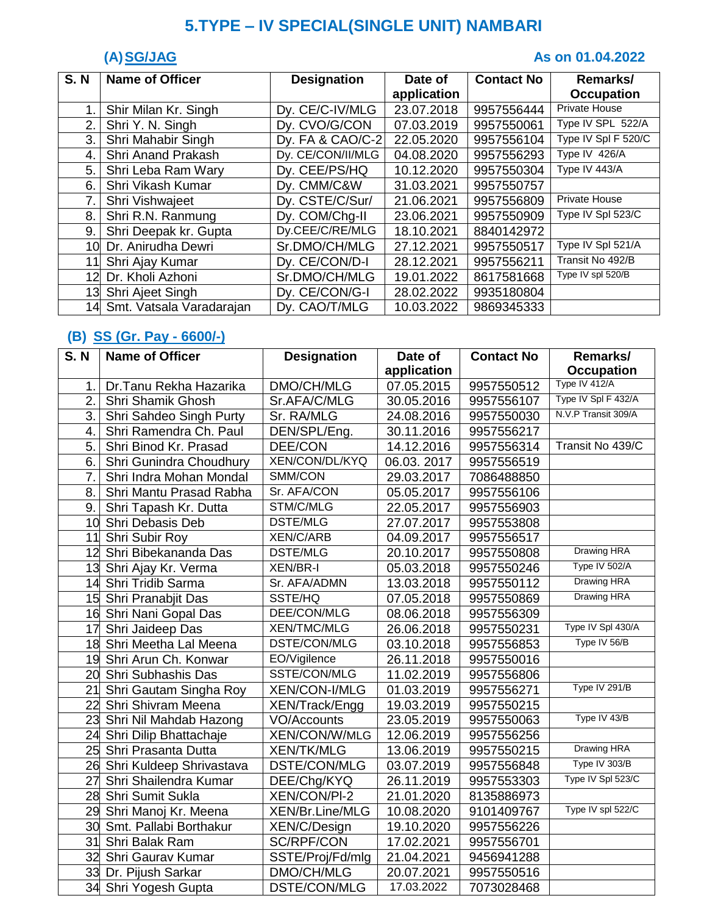# **5.TYPE – IV SPECIAL(SINGLE UNIT) NAMBARI**

### **(A) SG/JAG As on 01.04.2022**

| <b>S. N</b> | <b>Name of Officer</b>   | <b>Designation</b> | Date of     | <b>Contact No</b> | Remarks/             |
|-------------|--------------------------|--------------------|-------------|-------------------|----------------------|
|             |                          |                    | application |                   | <b>Occupation</b>    |
| 1.          | Shir Milan Kr. Singh     | Dy. CE/C-IV/MLG    | 23.07.2018  | 9957556444        | Private House        |
| 2.          | Shri Y. N. Singh         | Dy. CVO/G/CON      | 07.03.2019  | 9957550061        | Type IV SPL 522/A    |
| 3.          | Shri Mahabir Singh       | Dy. FA & CAO/C-2   | 22.05.2020  | 9957556104        | Type IV Spl F 520/C  |
| 4.          | Shri Anand Prakash       | Dy. CE/CON/II/MLG  | 04.08.2020  | 9957556293        | Type IV 426/A        |
| 5.          | Shri Leba Ram Wary       | Dy. CEE/PS/HQ      | 10.12.2020  | 9957550304        | Type IV 443/A        |
| 6.          | Shri Vikash Kumar        | Dv. CMM/C&W        | 31.03.2021  | 9957550757        |                      |
| 7.          | Shri Vishwajeet          | Dy. CSTE/C/Sur/    | 21.06.2021  | 9957556809        | <b>Private House</b> |
| 8.          | Shri R.N. Ranmung        | Dy. COM/Chg-II     | 23.06.2021  | 9957550909        | Type IV Spl 523/C    |
| 9.          | Shri Deepak kr. Gupta    | Dy.CEE/C/RE/MLG    | 18.10.2021  | 8840142972        |                      |
| 10          | Dr. Anirudha Dewri       | Sr.DMO/CH/MLG      | 27.12.2021  | 9957550517        | Type IV Spl 521/A    |
| 11          | Shri Ajay Kumar          | Dy. CE/CON/D-I     | 28.12.2021  | 9957556211        | Transit No 492/B     |
| 12          | Dr. Kholi Azhoni         | Sr.DMO/CH/MLG      | 19.01.2022  | 8617581668        | Type IV spl 520/B    |
| 13          | Shri Ajeet Singh         | Dy. CE/CON/G-I     | 28.02.2022  | 9935180804        |                      |
| 14          | Smt. Vatsala Varadarajan | Dy. CAO/T/MLG      | 10.03.2022  | 9869345333        |                      |

### **(B) SS (Gr. Pay - 6600/-)**

| <b>S.N</b> | <b>Name of Officer</b>      | <b>Designation</b>   | Date of     | <b>Contact No</b> | Remarks/            |
|------------|-----------------------------|----------------------|-------------|-------------------|---------------------|
|            |                             |                      | application |                   | <b>Occupation</b>   |
| 1.         | Dr.Tanu Rekha Hazarika      | DMO/CH/MLG           | 07.05.2015  | 9957550512        | Type IV 412/A       |
| 2.         | Shri Shamik Ghosh           | Sr.AFA/C/MLG         | 30.05.2016  | 9957556107        | Type IV Spl F 432/A |
| 3.         | Shri Sahdeo Singh Purty     | Sr. RA/MLG           | 24.08.2016  | 9957550030        | N.V.P Transit 309/A |
| 4.         | Shri Ramendra Ch. Paul      | DEN/SPL/Eng.         | 30.11.2016  | 9957556217        |                     |
| 5.         | Shri Binod Kr. Prasad       | DEE/CON              | 14.12.2016  | 9957556314        | Transit No 439/C    |
| 6.         | Shri Gunindra Choudhury     | XEN/CON/DL/KYQ       | 06.03.2017  | 9957556519        |                     |
| 7.         | Shri Indra Mohan Mondal     | SMM/CON              | 29.03.2017  | 7086488850        |                     |
| 8.         | Shri Mantu Prasad Rabha     | Sr. AFA/CON          | 05.05.2017  | 9957556106        |                     |
| 9.         | Shri Tapash Kr. Dutta       | STM/C/MLG            | 22.05.2017  | 9957556903        |                     |
|            | 10 Shri Debasis Deb         | <b>DSTE/MLG</b>      | 27.07.2017  | 9957553808        |                     |
| 11         | Shri Subir Roy              | <b>XEN/C/ARB</b>     | 04.09.2017  | 9957556517        |                     |
|            | 12 Shri Bibekananda Das     | <b>DSTE/MLG</b>      | 20.10.2017  | 9957550808        | <b>Drawing HRA</b>  |
|            | 13 Shri Ajay Kr. Verma      | <b>XEN/BR-I</b>      | 05.03.2018  | 9957550246        | Type IV 502/A       |
| 14         | Shri Tridib Sarma           | Sr. AFA/ADMN         | 13.03.2018  | 9957550112        | <b>Drawing HRA</b>  |
|            | 15 Shri Pranabjit Das       | SSTE/HQ              | 07.05.2018  | 9957550869        | Drawing HRA         |
|            | 16 Shri Nani Gopal Das      | DEE/CON/MLG          | 08.06.2018  | 9957556309        |                     |
|            | 17 Shri Jaideep Das         | <b>XEN/TMC/MLG</b>   | 26.06.2018  | 9957550231        | Type IV Spl 430/A   |
|            | 18 Shri Meetha Lal Meena    | DSTE/CON/MLG         | 03.10.2018  | 9957556853        | Type IV 56/B        |
|            | 19 Shri Arun Ch. Konwar     | EO/Vigilence         | 26.11.2018  | 9957550016        |                     |
|            | 20 Shri Subhashis Das       | SSTE/CON/MLG         | 11.02.2019  | 9957556806        |                     |
|            | 21 Shri Gautam Singha Roy   | <b>XEN/CON-I/MLG</b> | 01.03.2019  | 9957556271        | Type IV 291/B       |
|            | 22 Shri Shivram Meena       | XEN/Track/Engg       | 19.03.2019  | 9957550215        |                     |
|            | 23 Shri Nil Mahdab Hazong   | <b>VO/Accounts</b>   | 23.05.2019  | 9957550063        | Type IV 43/B        |
|            | 24 Shri Dilip Bhattachaje   | XEN/CON/W/MLG        | 12.06.2019  | 9957556256        |                     |
|            | 25 Shri Prasanta Dutta      | <b>XEN/TK/MLG</b>    | 13.06.2019  | 9957550215        | Drawing HRA         |
|            | 26 Shri Kuldeep Shrivastava | DSTE/CON/MLG         | 03.07.2019  | 9957556848        | Type IV 303/B       |
| 27         | Shri Shailendra Kumar       | DEE/Chg/KYQ          | 26.11.2019  | 9957553303        | Type IV Spl 523/C   |
|            | 28 Shri Sumit Sukla         | <b>XEN/CON/PI-2</b>  | 21.01.2020  | 8135886973        |                     |
|            | 29 Shri Manoj Kr. Meena     | XEN/Br.Line/MLG      | 10.08.2020  | 9101409767        | Type IV spl 522/C   |
|            | 30 Smt. Pallabi Borthakur   | XEN/C/Design         | 19.10.2020  | 9957556226        |                     |
|            | 31 Shri Balak Ram           | SC/RPF/CON           | 17.02.2021  | 9957556701        |                     |
|            | 32 Shri Gaurav Kumar        | SSTE/Proj/Fd/mlg     | 21.04.2021  | 9456941288        |                     |
|            | 33 Dr. Pijush Sarkar        | DMO/CH/MLG           | 20.07.2021  | 9957550516        |                     |
|            | 34 Shri Yogesh Gupta        | DSTE/CON/MLG         | 17.03.2022  | 7073028468        |                     |